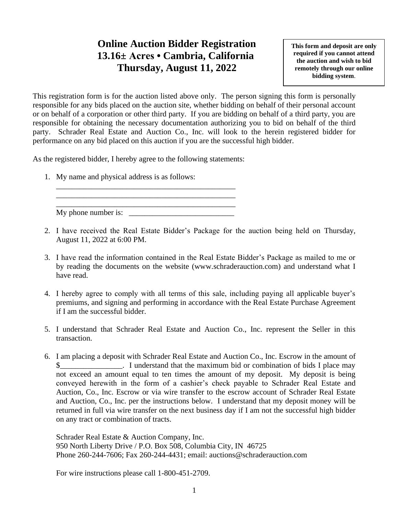## **Online Auction Bidder Registration 13.16± Acres • Cambria, California Thursday, August 11, 2022**

**This form and deposit are only required if you cannot attend the auction and wish to bid remotely through our online bidding system**.

This registration form is for the auction listed above only. The person signing this form is personally responsible for any bids placed on the auction site, whether bidding on behalf of their personal account or on behalf of a corporation or other third party. If you are bidding on behalf of a third party, you are responsible for obtaining the necessary documentation authorizing you to bid on behalf of the third party. Schrader Real Estate and Auction Co., Inc. will look to the herein registered bidder for performance on any bid placed on this auction if you are the successful high bidder.

As the registered bidder, I hereby agree to the following statements:

\_\_\_\_\_\_\_\_\_\_\_\_\_\_\_\_\_\_\_\_\_\_\_\_\_\_\_\_\_\_\_\_\_\_\_\_\_\_\_\_\_\_\_\_\_\_ \_\_\_\_\_\_\_\_\_\_\_\_\_\_\_\_\_\_\_\_\_\_\_\_\_\_\_\_\_\_\_\_\_\_\_\_\_\_\_\_\_\_\_\_\_\_

1. My name and physical address is as follows:

\_\_\_\_\_\_\_\_\_\_\_\_\_\_\_\_\_\_\_\_\_\_\_\_\_\_\_\_\_\_\_\_\_\_\_\_\_\_\_\_\_\_\_\_\_\_ My phone number is:

- 2. I have received the Real Estate Bidder's Package for the auction being held on Thursday, August 11, 2022 at 6:00 PM.
- 3. I have read the information contained in the Real Estate Bidder's Package as mailed to me or by reading the documents on the website (www.schraderauction.com) and understand what I have read.
- 4. I hereby agree to comply with all terms of this sale, including paying all applicable buyer's premiums, and signing and performing in accordance with the Real Estate Purchase Agreement if I am the successful bidder.
- 5. I understand that Schrader Real Estate and Auction Co., Inc. represent the Seller in this transaction.
- 6. I am placing a deposit with Schrader Real Estate and Auction Co., Inc. Escrow in the amount of I understand that the maximum bid or combination of bids I place may not exceed an amount equal to ten times the amount of my deposit. My deposit is being conveyed herewith in the form of a cashier's check payable to Schrader Real Estate and Auction, Co., Inc. Escrow or via wire transfer to the escrow account of Schrader Real Estate and Auction, Co., Inc. per the instructions below. I understand that my deposit money will be returned in full via wire transfer on the next business day if I am not the successful high bidder on any tract or combination of tracts.

Schrader Real Estate & Auction Company, Inc. 950 North Liberty Drive / P.O. Box 508, Columbia City, IN 46725 Phone 260-244-7606; Fax 260-244-4431; email: auctions@schraderauction.com

For wire instructions please call 1-800-451-2709.